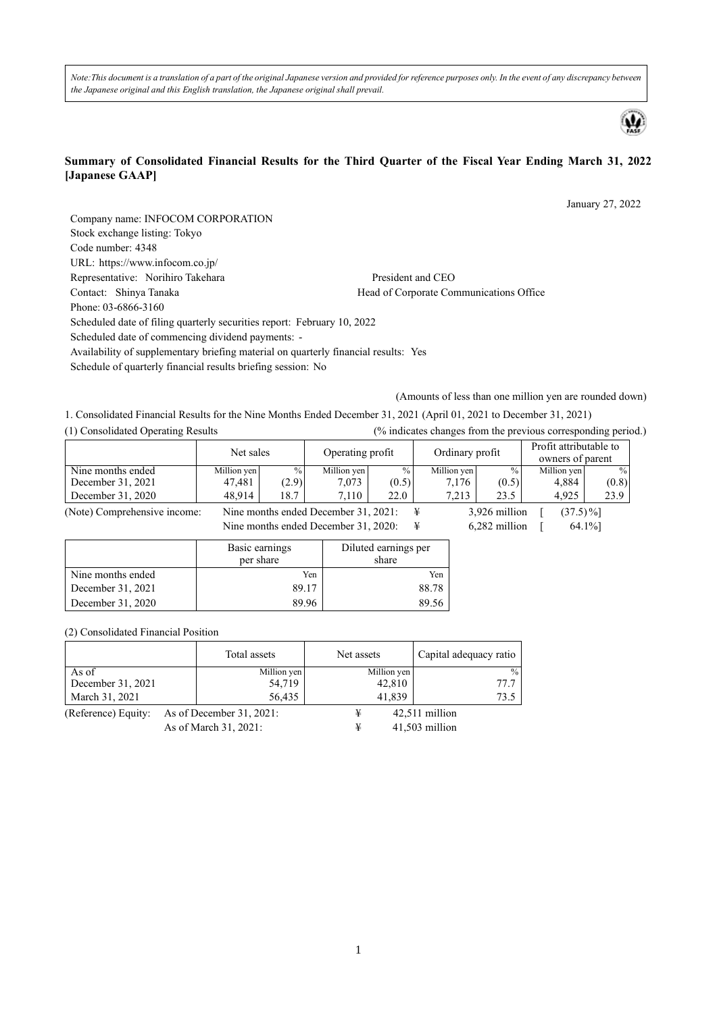*Note:This document is a translation of a part of the original Japanese version and provided for reference purposes only. In the event of any discrepancy between the Japanese original and this English translation, the Japanese original shall prevail.* 



#### **Summary of Consolidated Financial Results for the Third Quarter of the Fiscal Year Ending March 31, 2022 [Japanese GAAP]**

January 27, 2022 Company name: INFOCOM CORPORATION Stock exchange listing: Tokyo Code number: 4348 URL: https://www.infocom.co.jp/ Representative: Norihiro Takehara President and CEO Contact: Shinya Tanaka Head of Corporate Communications Office Phone: 03-6866-3160 Scheduled date of filing quarterly securities report: February 10, 2022 Scheduled date of commencing dividend payments: - Availability of supplementary briefing material on quarterly financial results: Yes Schedule of quarterly financial results briefing session: No

(Amounts of less than one million yen are rounded down)

1. Consolidated Financial Results for the Nine Months Ended December 31, 2021 (April 01, 2021 to December 31, 2021)

| (1) Consolidated Operating Results |                                      |       |                                      |               |                 |               | (% indicates changes from the previous corresponding period.) |               |
|------------------------------------|--------------------------------------|-------|--------------------------------------|---------------|-----------------|---------------|---------------------------------------------------------------|---------------|
|                                    | Net sales                            |       | Operating profit                     |               | Ordinary profit |               | Profit attributable to<br>owners of parent                    |               |
| Nine months ended                  | Million yen                          | $\%$  | Million yen                          | $\frac{0}{0}$ | Million yen     | $\%$          | Million yen                                                   | $\frac{0}{0}$ |
| December 31, 2021                  | 47,481                               | (2.9) | 7,073                                | (0.5)         | 7,176           | (0.5)         | 4,884                                                         | (0.8)         |
| December 31, 2020                  | 48.914                               | 18.7  | 7.110                                | 22.0          | 7.213           | 23.5          | 4.925                                                         | 23.9          |
| (Note) Comprehensive income:       | Nine months ended December 31, 2021: |       |                                      |               | ¥               | 3,926 million | $(37.5)\%$                                                    |               |
|                                    |                                      |       | Nine months ended December 31, 2020: |               | ¥               | 6,282 million |                                                               | 64.1%]        |

|                   | Basic earnings<br>per share | Diluted earnings per<br>share |
|-------------------|-----------------------------|-------------------------------|
| Nine months ended | Yen                         | Yen                           |
| December 31, 2021 | 89.17                       | 88.78                         |
| December 31, 2020 | 89.96                       | 89.5                          |

(2) Consolidated Financial Position

|                     | Total assets                | Net assets  | Capital adequacy ratio |
|---------------------|-----------------------------|-------------|------------------------|
| As of               | Million yen                 | Million yen | $\frac{0}{0}$          |
| December 31, 2021   | 54,719                      | 42,810      | 77.7                   |
| March 31, 2021      | 56,435                      | 41,839      | 73.5                   |
| (Reference) Equity: | As of December $31, 2021$ : | ¥           | 42,511 million         |
|                     | As of March 31, 2021:       | ¥           | 41,503 million         |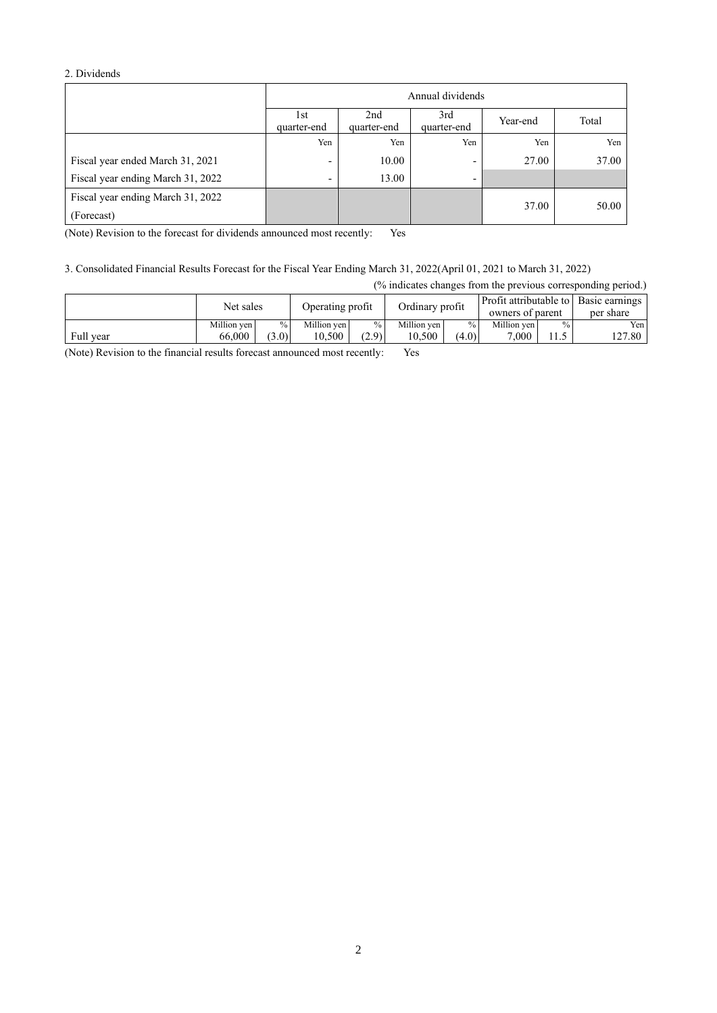### 2. Dividends

|                                   | Annual dividends                                                           |       |                          |       |       |  |  |
|-----------------------------------|----------------------------------------------------------------------------|-------|--------------------------|-------|-------|--|--|
|                                   | 2nd<br>3rd<br>1st<br>Year-end<br>quarter-end<br>quarter-end<br>quarter-end |       |                          |       |       |  |  |
|                                   | Yen                                                                        | Yen   | Yen                      | Yen   | Yen   |  |  |
| Fiscal year ended March 31, 2021  | -                                                                          | 10.00 | $\overline{\phantom{a}}$ | 27.00 | 37.00 |  |  |
| Fiscal year ending March 31, 2022 | $\overline{\phantom{0}}$                                                   | 13.00 | -                        |       |       |  |  |
| Fiscal year ending March 31, 2022 |                                                                            |       |                          | 37.00 | 50.00 |  |  |
| (Forecast)                        |                                                                            |       |                          |       |       |  |  |

(Note) Revision to the forecast for dividends announced most recently: Yes

# 3. Consolidated Financial Results Forecast for the Fiscal Year Ending March 31, 2022(April 01, 2021 to March 31, 2022)

| (% indicates changes from the previous corresponding period.) |             |       |                  |       |                 |       |                  |      |                                                    |
|---------------------------------------------------------------|-------------|-------|------------------|-------|-----------------|-------|------------------|------|----------------------------------------------------|
|                                                               | Net sales   |       | Operating profit |       | Ordinary profit |       | owners of parent |      | Profit attributable to Basic earnings<br>per share |
|                                                               | Million yen | $\%$  | Million yen      | $\%$  | Million ven     | $\%$  | Million ven      | $\%$ | Yen l                                              |
| Full year                                                     | 66,000      | (3.0) | 10.500           | (2.9) | 10,500          | (4.0) | 7.000            | 11.5 | 127.80 I                                           |

(Note) Revision to the financial results forecast announced most recently: Yes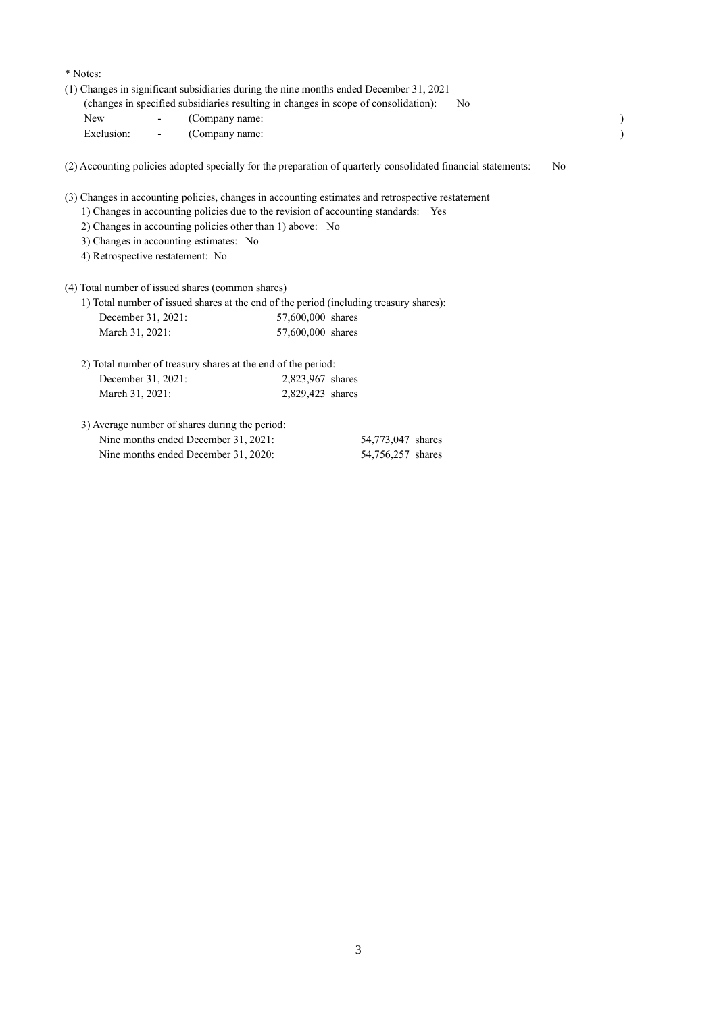#### \* Notes:

(1) Changes in significant subsidiaries during the nine months ended December 31, 2021

|     | (changes in specified subsidiaries resulting in changes in scope of consolidation): |  |
|-----|-------------------------------------------------------------------------------------|--|
| New | (Company name:                                                                      |  |

Exclusion:  $\qquad \qquad -$  (Company name: )

(2) Accounting policies adopted specially for the preparation of quarterly consolidated financial statements: No

(3) Changes in accounting policies, changes in accounting estimates and retrospective restatement

- 1) Changes in accounting policies due to the revision of accounting standards: Yes
- 2) Changes in accounting policies other than 1) above: No
- 3) Changes in accounting estimates: No
- 4) Retrospective restatement: No

(4) Total number of issued shares (common shares)

|                    | 1) Total number of issued shares at the end of the period (including treasury shares): |
|--------------------|----------------------------------------------------------------------------------------|
| December 31, 2021: | 57,600,000 shares                                                                      |
| March 31, 2021:    | 57,600,000 shares                                                                      |

| 2) Total number of treasury shares at the end of the period: |                  |
|--------------------------------------------------------------|------------------|
| December 31, 2021:                                           | 2,823,967 shares |
| March 31, 2021:                                              | 2,829,423 shares |

| 3) Average number of shares during the period: |                   |
|------------------------------------------------|-------------------|
| Nine months ended December 31, 2021:           | 54,773,047 shares |
| Nine months ended December 31, 2020:           | 54,756,257 shares |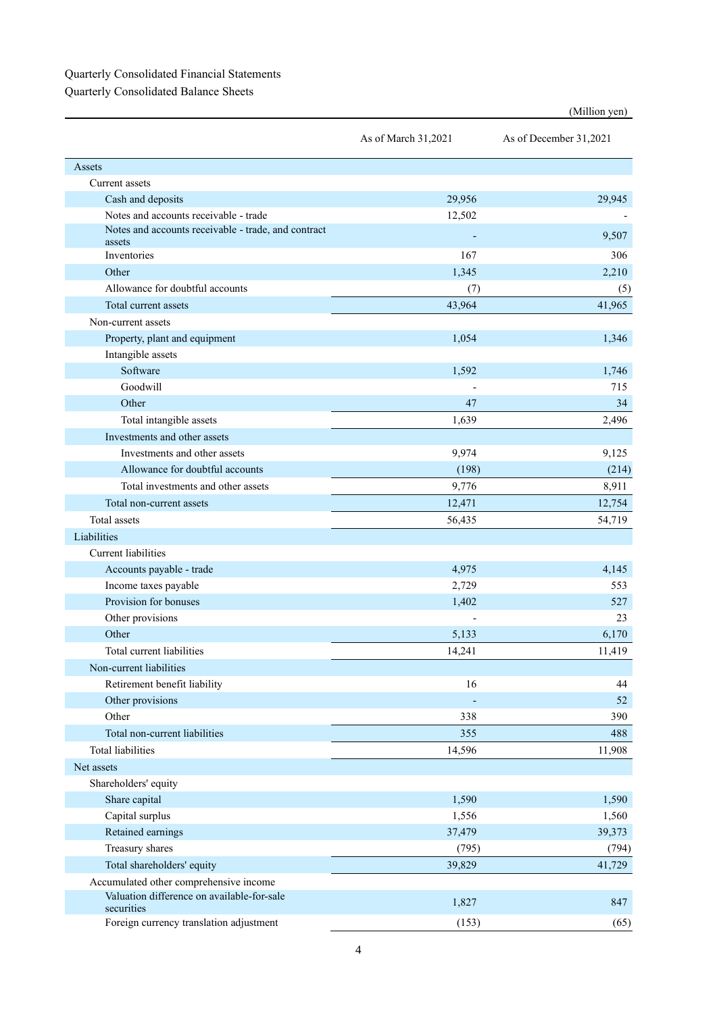## Quarterly Consolidated Financial Statements

Quarterly Consolidated Balance Sheets

|                                                               | As of March 31,2021 | As of December 31,2021 |  |
|---------------------------------------------------------------|---------------------|------------------------|--|
| Assets                                                        |                     |                        |  |
| Current assets                                                |                     |                        |  |
| Cash and deposits                                             | 29,956              | 29,945                 |  |
| Notes and accounts receivable - trade                         | 12,502              |                        |  |
| Notes and accounts receivable - trade, and contract<br>assets |                     | 9,507                  |  |
| Inventories                                                   | 167                 | 306                    |  |
| Other                                                         | 1,345               | 2,210                  |  |
| Allowance for doubtful accounts                               | (7)                 | (5)                    |  |
| Total current assets                                          | 43,964              | 41,965                 |  |
| Non-current assets                                            |                     |                        |  |
| Property, plant and equipment                                 | 1,054               | 1,346                  |  |
| Intangible assets                                             |                     |                        |  |
| Software                                                      | 1,592               | 1,746                  |  |
| Goodwill                                                      |                     | 715                    |  |
| Other                                                         | 47                  | 34                     |  |
| Total intangible assets                                       | 1,639               | 2,496                  |  |
| Investments and other assets                                  |                     |                        |  |
| Investments and other assets                                  | 9,974               | 9,125                  |  |
| Allowance for doubtful accounts                               | (198)               | (214)                  |  |
| Total investments and other assets                            | 9,776               | 8,911                  |  |
| Total non-current assets                                      | 12,471              | 12,754                 |  |
| Total assets                                                  | 56,435              | 54,719                 |  |
| Liabilities                                                   |                     |                        |  |
| <b>Current</b> liabilities                                    |                     |                        |  |
| Accounts payable - trade                                      | 4,975               | 4,145                  |  |
| Income taxes payable                                          | 2,729               | 553                    |  |
| Provision for bonuses                                         | 1,402               | 527                    |  |
| Other provisions                                              |                     | 23                     |  |
| Other                                                         | 5,133               | 6,170                  |  |
| Total current liabilities                                     | 14,241              | 11,419                 |  |
| Non-current liabilities                                       |                     |                        |  |
| Retirement benefit liability                                  | 16                  | 44                     |  |
| Other provisions                                              |                     | 52                     |  |
| Other                                                         | 338                 | 390                    |  |
| Total non-current liabilities                                 | 355                 | 488                    |  |
| <b>Total liabilities</b>                                      | 14,596              | 11,908                 |  |
| Net assets                                                    |                     |                        |  |
| Shareholders' equity                                          |                     |                        |  |
| Share capital                                                 | 1,590               | 1,590                  |  |
| Capital surplus                                               | 1,556               | 1,560                  |  |
| Retained earnings                                             | 37,479              | 39,373                 |  |
| Treasury shares                                               | (795)               | (794)                  |  |
| Total shareholders' equity                                    | 39,829              | 41,729                 |  |
| Accumulated other comprehensive income                        |                     |                        |  |
| Valuation difference on available-for-sale<br>securities      | 1,827               | 847                    |  |
| Foreign currency translation adjustment                       | (153)               | (65)                   |  |

(Million yen)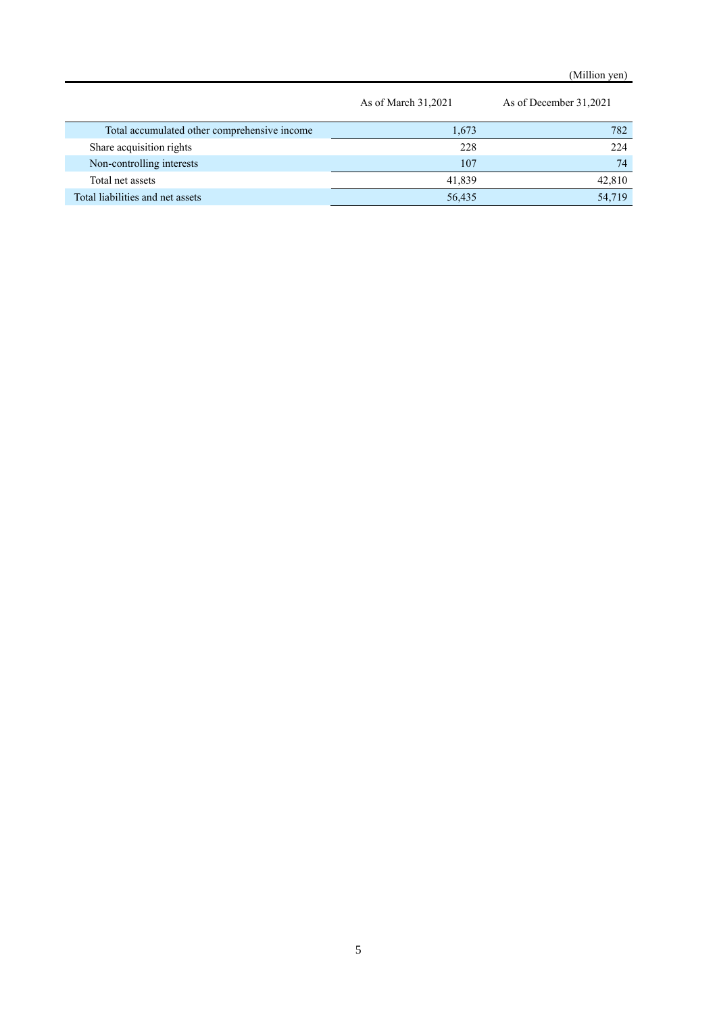(Million yen)

|                                              | As of March 31,2021 | As of December 31,2021 |
|----------------------------------------------|---------------------|------------------------|
| Total accumulated other comprehensive income | 1,673               | 782                    |
| Share acquisition rights                     | 228                 | 224                    |
| Non-controlling interests                    | 107                 | 74                     |
| Total net assets                             | 41,839              | 42,810                 |
| Total liabilities and net assets             | 56,435              | 54,719                 |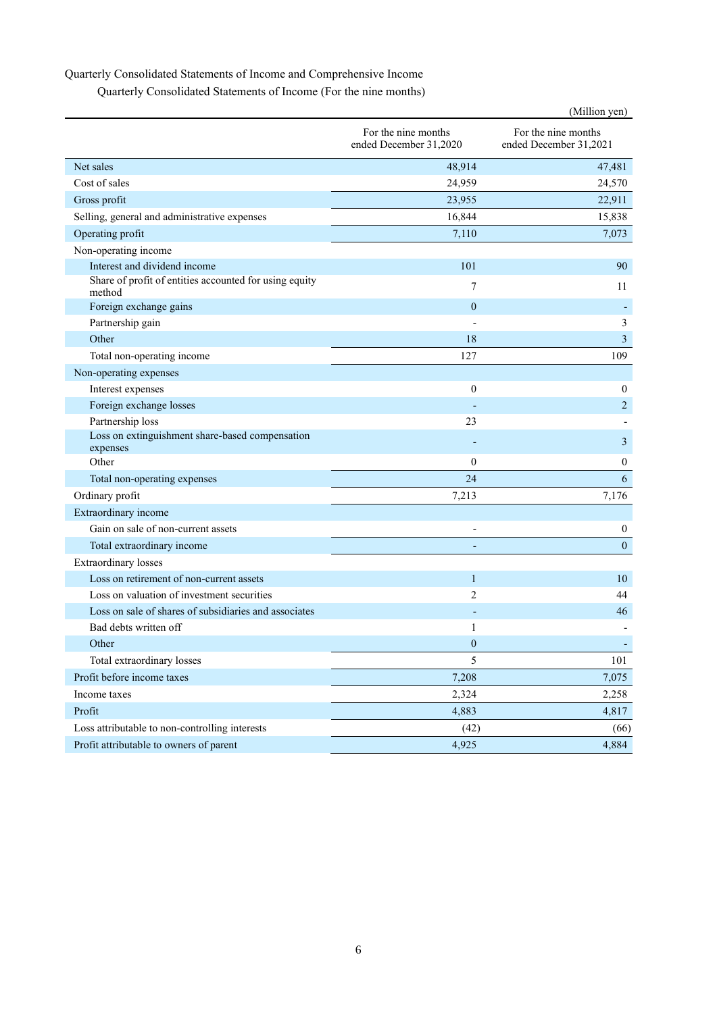## Quarterly Consolidated Statements of Income and Comprehensive Income

Quarterly Consolidated Statements of Income (For the nine months)

|                                                                  |                                               | (Million yen)                                 |
|------------------------------------------------------------------|-----------------------------------------------|-----------------------------------------------|
|                                                                  | For the nine months<br>ended December 31,2020 | For the nine months<br>ended December 31,2021 |
| Net sales                                                        | 48,914                                        | 47,481                                        |
| Cost of sales                                                    | 24,959                                        | 24,570                                        |
| Gross profit                                                     | 23,955                                        | 22,911                                        |
| Selling, general and administrative expenses                     | 16,844                                        | 15,838                                        |
| Operating profit                                                 | 7,110                                         | 7,073                                         |
| Non-operating income                                             |                                               |                                               |
| Interest and dividend income                                     | 101                                           | 90                                            |
| Share of profit of entities accounted for using equity<br>method | 7                                             | 11                                            |
| Foreign exchange gains                                           | $\mathbf{0}$                                  | $\overline{\phantom{a}}$                      |
| Partnership gain                                                 |                                               | 3                                             |
| Other                                                            | 18                                            | 3                                             |
| Total non-operating income                                       | 127                                           | 109                                           |
| Non-operating expenses                                           |                                               |                                               |
| Interest expenses                                                | $\mathbf{0}$                                  | $\overline{0}$                                |
| Foreign exchange losses                                          |                                               | $\overline{c}$                                |
| Partnership loss                                                 | 23                                            |                                               |
| Loss on extinguishment share-based compensation<br>expenses      |                                               | 3                                             |
| Other                                                            | $\mathbf{0}$                                  | $\boldsymbol{0}$                              |
| Total non-operating expenses                                     | 24                                            | 6                                             |
| Ordinary profit                                                  | 7,213                                         | 7,176                                         |
| Extraordinary income                                             |                                               |                                               |
| Gain on sale of non-current assets                               |                                               | $\boldsymbol{0}$                              |
| Total extraordinary income                                       |                                               | $\boldsymbol{0}$                              |
| <b>Extraordinary losses</b>                                      |                                               |                                               |
| Loss on retirement of non-current assets                         | $\mathbf{1}$                                  | 10                                            |
| Loss on valuation of investment securities                       | $\overline{2}$                                | 44                                            |
| Loss on sale of shares of subsidiaries and associates            |                                               | 46                                            |
| Bad debts written off                                            | 1                                             |                                               |
| Other                                                            | $\boldsymbol{0}$                              |                                               |
| Total extraordinary losses                                       | 5                                             | 101                                           |
| Profit before income taxes                                       | 7,208                                         | 7,075                                         |
| Income taxes                                                     | 2,324                                         | 2,258                                         |
| Profit                                                           | 4,883                                         | 4,817                                         |
| Loss attributable to non-controlling interests                   | (42)                                          | (66)                                          |
| Profit attributable to owners of parent                          | 4,925                                         | 4,884                                         |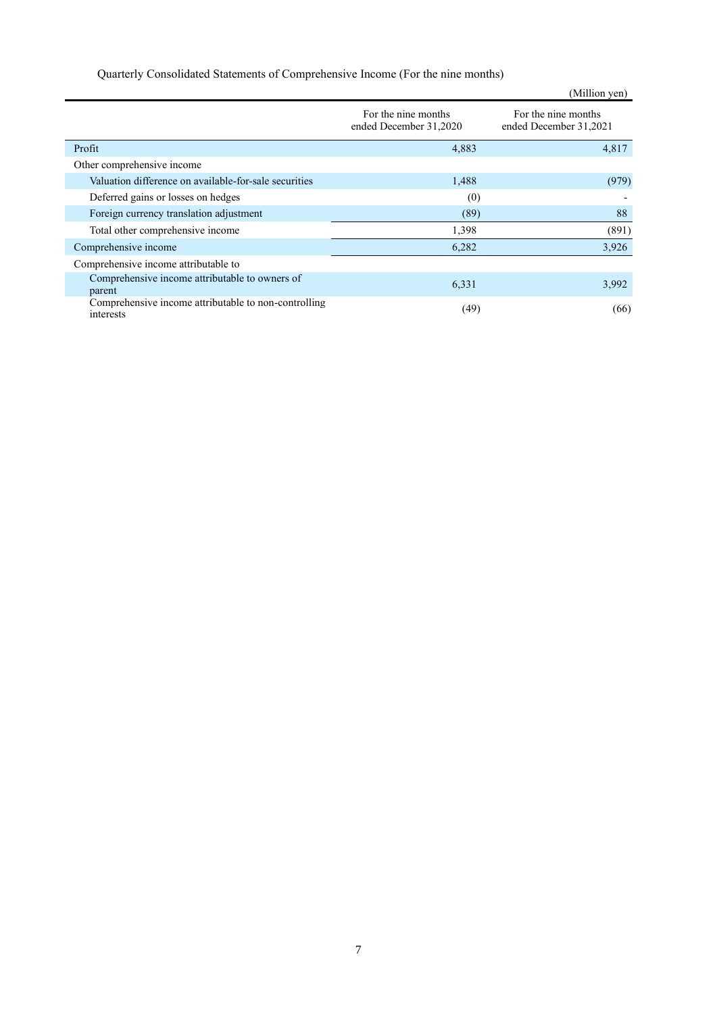| Quarterly Consolidated Statements of Comprehensive Income (For the nine months) |  |
|---------------------------------------------------------------------------------|--|
|---------------------------------------------------------------------------------|--|

|                                                                   |                                               | (Million yen)                                 |
|-------------------------------------------------------------------|-----------------------------------------------|-----------------------------------------------|
|                                                                   | For the nine months<br>ended December 31,2020 | For the nine months<br>ended December 31,2021 |
| Profit                                                            | 4,883                                         | 4,817                                         |
| Other comprehensive income                                        |                                               |                                               |
| Valuation difference on available-for-sale securities             | 1,488                                         | (979)                                         |
| Deferred gains or losses on hedges                                | (0)                                           |                                               |
| Foreign currency translation adjustment                           | (89)                                          | 88                                            |
| Total other comprehensive income                                  | 1,398                                         | (891)                                         |
| Comprehensive income                                              | 6,282                                         | 3,926                                         |
| Comprehensive income attributable to                              |                                               |                                               |
| Comprehensive income attributable to owners of<br>parent          | 6,331                                         | 3,992                                         |
| Comprehensive income attributable to non-controlling<br>interests | (49)                                          | (66)                                          |